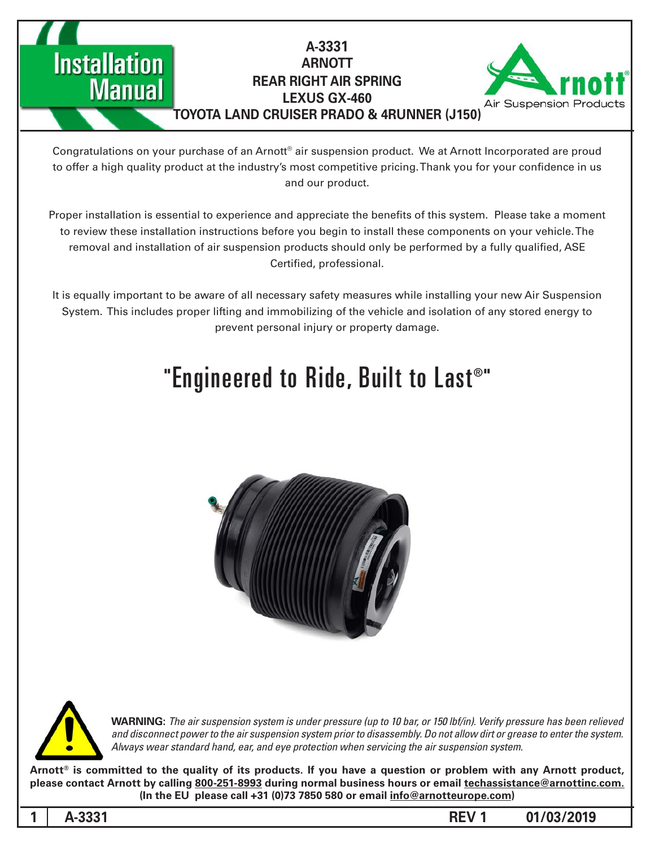**ARNOTT REAR RIGHT AIR SPRING** 

A-3331



### **LEXUS GX-460 TOYOTA LAND CRUISER PRADO & 4RUNNER (J150)**

Congratulations on your purchase of an Arnott® air suspension product. We at Arnott Incorporated are proud to offer a high quality product at the industry's most competitive pricing. Thank you for your confidence in us and our product.

Proper installation is essential to experience and appreciate the benefits of this system. Please take a moment to review these installation instructions before you begin to install these components on your vehicle. The removal and installation of air suspension products should only be performed by a fully qualified, ASE Certified, professional.

It is equally important to be aware of all necessary safety measures while installing your new Air Suspension System. This includes proper lifting and immobilizing of the vehicle and isolation of any stored energy to prevent personal injury or property damage.

# "Engineered to Ride, Built to Last®"





**Installation** 

**Manual** 

*WARNING: The air suspension system is under pressure (up to 10 bar, or 150 lbf/in). Verify pressure has been relieved* and disconnect power to the air suspension system prior to disassembly. Do not allow dirt or grease to enter the system. Always wear standard hand, ear, and eye protection when servicing the air suspension system.

Arnott<sup>®</sup> is committed to the quality of its products. If you have a question or problem with any Arnott product, please contact Arnott by calling 800-251-8993 during normal business hours or email techassistance@arnottinc.com. (In the EU please call +31 (0)73 7850 580 or email info@arnotteurope.com)

**01/03/2019 1 REV -3331A 1**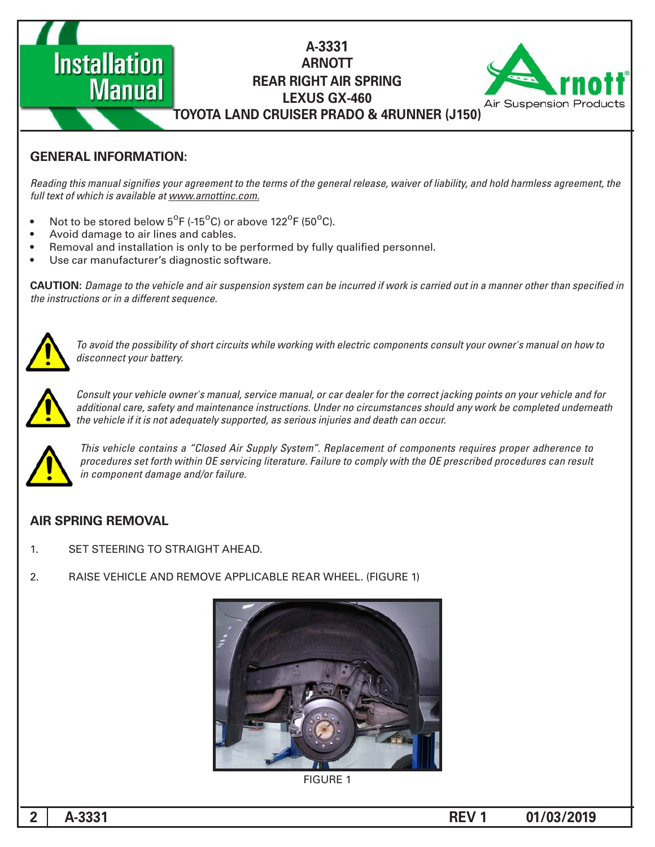## A-3331 **ARNOTT REAR RIGHT AIR SPRING LEXUS GX-460 TOYOTA LAND CRUISER PRADO & 4RUNNER (J150)**



## **GENERAL INFORMATION:**

**Manual** 

**Installation** 

Reading this manual signifies your agreement to the terms of the general release, waiver of liability, and hold harmless agreement, the full text of which is available at www.arnottinc.com.

- Not to be stored below 5<sup>o</sup>F (-15<sup>o</sup>C) or above 122<sup>o</sup>F (50<sup>o</sup>C).
- Avoid damage to air lines and cables.
- Removal and installation is only to be performed by fully qualified personnel.
- Use car manufacturer's diagnostic software.

 *in specified than other manner a in out carried is work if incurred be can system suspension air and vehicle the to Damage* **:CAUTION** *the instructions or in a different sequence.* 



 *to how on manual s'owner your consult components electric with working while circuits short of possibility the avoid To* disconnect your battery.



Consult your vehicle owner's manual, service manual, or car dealer for the correct jacking points on your vehicle and for additional care, safety and maintenance instructions. Under no circumstances should any work be completed underneath the vehicle if it is not adequately supported, as serious injuries and death can occur.



*This vehicle contains a "Closed Air Supply System". Replacement of components requires proper adherence to* procedures set forth within OE servicing literature. Failure to comply with the OE prescribed procedures can result *in component damage and/or failure.* 

## **AIR SPRING REMOVAL**

- 1. SET STEERING TO STRAIGHT AHEAD.
- 2. RAISE VEHICLE AND REMOVE APPLICABLE REAR WHEEL. (FIGURE 1)



**FIGURE 1**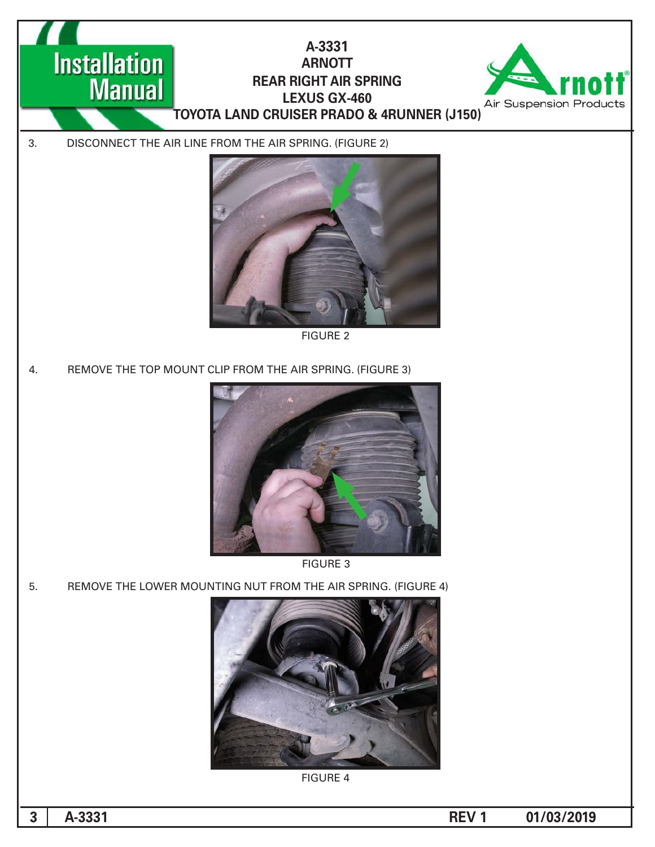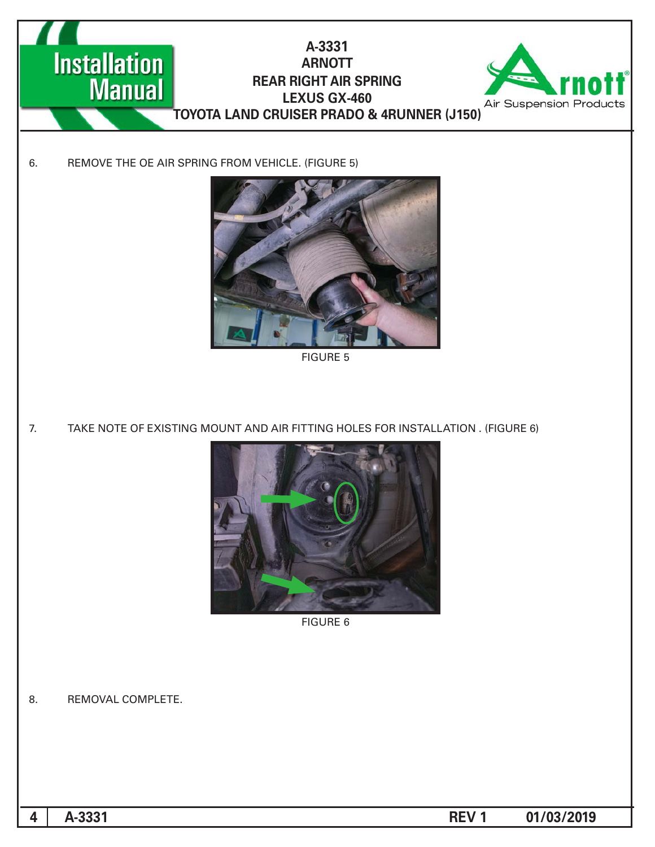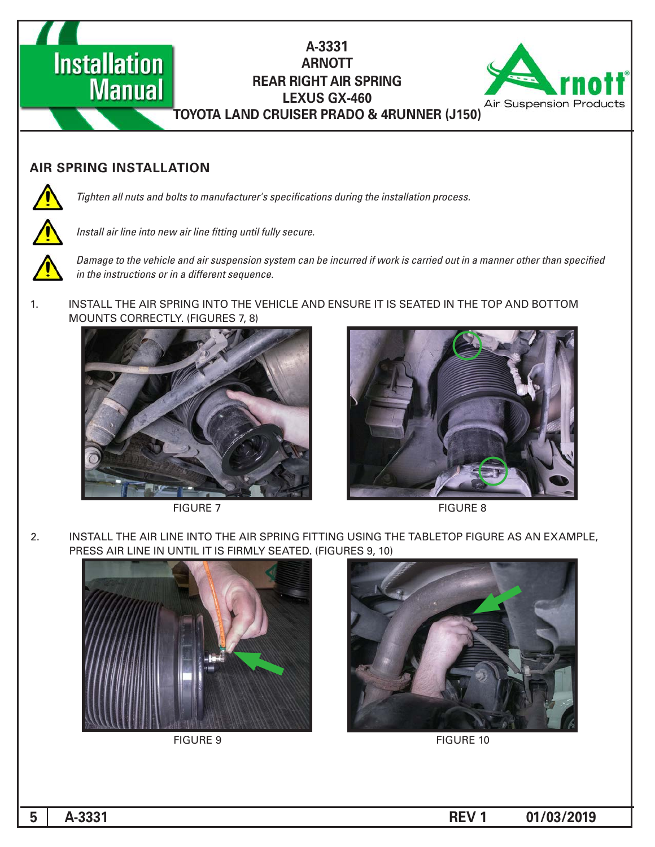A-3331 **ARNOTT REAR RIGHT AIR SPRING LEXUS GX-460 TOYOTA LAND CRUISER PRADO & 4RUNNER (J150)** 



#### **AIR SPRING INSTALLATION**

**Manual** 

**Installation** 



*Tighten all nuts and bolts to manufacturer's specifications during the installation process.* 



Install air line into new air line fitting until fully secure.



Damage to the vehicle and air suspension system can be incurred if work is carried out in a manner other than specified *in the instructions or in a different sequence.* 

1. INSTALL THE AIR SPRING INTO THE VEHICLE AND ENSURE IT IS SEATED IN THE TOP AND BOTTOM MOUNTS CORRECTLY. (FIGURES 7, 8)







**FIGURE 8** 

2. INSTALL THE AIR LINE INTO THE AIR SPRING FITTING USING THE TABLETOP FIGURE AS AN EXAMPLE, PRESS AIR LINE IN UNTIL IT IS FIRMLY SEATED. (FIGURES 9, 10)





FIGURE 9 FIGURE 10